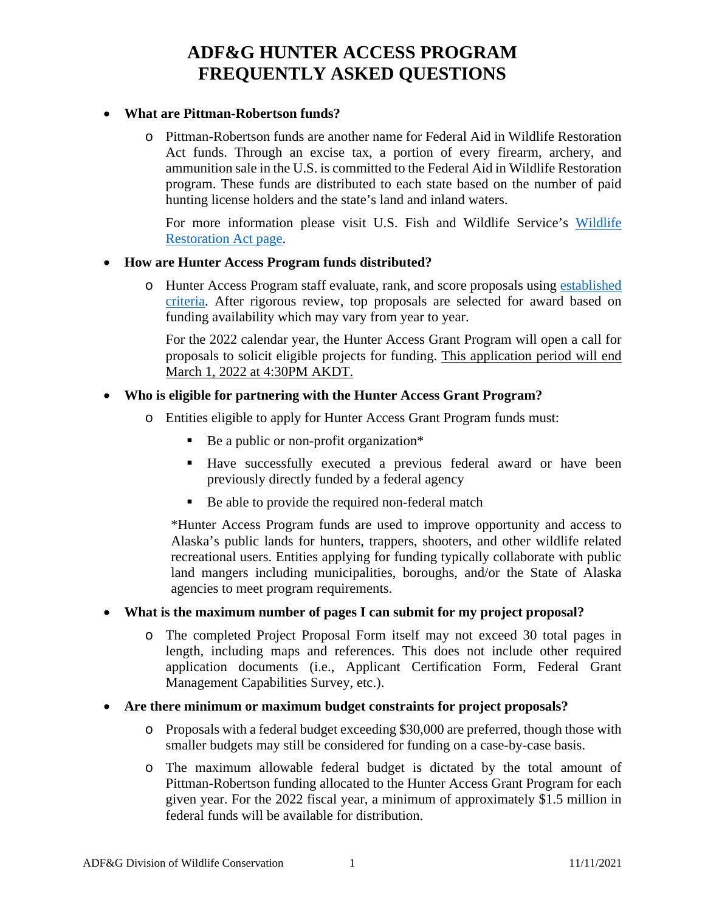#### • **What are Pittman-Robertson funds?**

o Pittman-Robertson funds are another name for Federal Aid in Wildlife Restoration Act funds. Through an excise tax, a portion of every firearm, archery, and ammunition sale in the U.S. is committed to the Federal Aid in Wildlife Restoration program. These funds are distributed to each state based on the number of paid hunting license holders and the state's land and inland waters.

For more information please visit U.S. Fish and Wildlife Service's [Wildlife](https://wsfrprograms.fws.gov/subpages/grantprograms/WR/WR_Act.htm) [Restoration Act page.](https://wsfrprograms.fws.gov/subpages/grantprograms/WR/WR_Act.htm)

#### • **How are Hunter Access Program funds distributed?**

o Hunter Access Program staff evaluate, rank, and score proposals using [established](https://www.adfg.alaska.gov/static/hunting/access/pdfs/hunter_access_program_criteria_summary_11.29.2021.pdf) [criteria.](https://www.adfg.alaska.gov/static/hunting/access/pdfs/hunter_access_program_criteria_summary_11.29.2021.pdf) After rigorous review, top proposals are selected for award based on funding availability which may vary from year to year.

For the 2022 calendar year, the Hunter Access Grant Program will open a call for proposals to solicit eligible projects for funding. This application period will end March 1, 2022 at 4:30PM AKDT.

## • **Who is eligible for partnering with the Hunter Access Grant Program?**

- o Entities eligible to apply for Hunter Access Grant Program funds must:
	- Be a public or non-profit organization\*
	- Have successfully executed a previous federal award or have been previously directly funded by a federal agency
	- Be able to provide the required non-federal match

\*Hunter Access Program funds are used to improve opportunity and access to Alaska's public lands for hunters, trappers, shooters, and other wildlife related recreational users. Entities applying for funding typically collaborate with public land mangers including municipalities, boroughs, and/or the State of Alaska agencies to meet program requirements.

#### • **What is the maximum number of pages I can submit for my project proposal?**

- o The completed Project Proposal Form itself may not exceed 30 total pages in length, including maps and references. This does not include other required application documents (i.e., Applicant Certification Form, Federal Grant Management Capabilities Survey, etc.).
- **Are there minimum or maximum budget constraints for project proposals?**
	- o Proposals with a federal budget exceeding \$30,000 are preferred, though those with smaller budgets may still be considered for funding on a case-by-case basis.
	- o The maximum allowable federal budget is dictated by the total amount of Pittman-Robertson funding allocated to the Hunter Access Grant Program for each given year. For the 2022 fiscal year, a minimum of approximately \$1.5 million in federal funds will be available for distribution.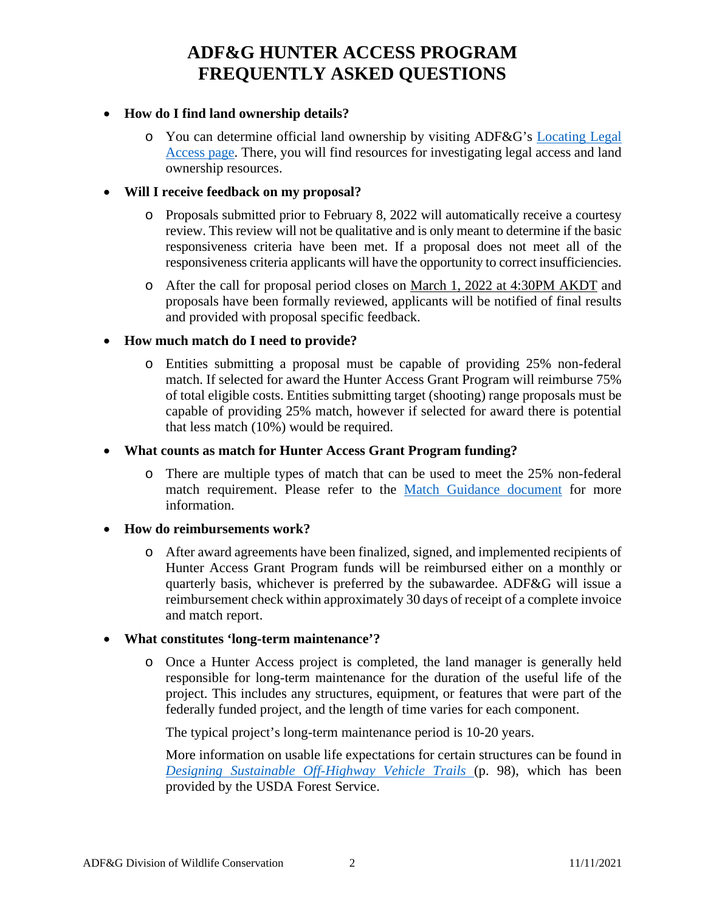## • **How do I find land ownership details?**

o You can determine official land ownership by visiting ADF&G's [Locating Legal](https://www.adfg.alaska.gov/index.cfm?adfg=access.locating) [Access page.](https://www.adfg.alaska.gov/index.cfm?adfg=access.locating) There, you will find resources for investigating legal access and land ownership resources.

#### • **Will I receive feedback on my proposal?**

- o Proposals submitted prior to February 8, 2022 will automatically receive a courtesy review. This review will not be qualitative and is only meant to determine if the basic responsiveness criteria have been met. If a proposal does not meet all of the responsiveness criteria applicants will have the opportunity to correct insufficiencies.
- o After the call for proposal period closes on March 1, 2022 at 4:30PM AKDT and proposals have been formally reviewed, applicants will be notified of final results and provided with proposal specific feedback.

## • **How much match do I need to provide?**

o Entities submitting a proposal must be capable of providing 25% non-federal match. If selected for award the Hunter Access Grant Program will reimburse 75% of total eligible costs. Entities submitting target (shooting) range proposals must be capable of providing 25% match, however if selected for award there is potential that less match (10%) would be required.

#### • **What counts as match for Hunter Access Grant Program funding?**

o There are multiple types of match that can be used to meet the 25% non-federal match requirement. Please refer to the [Match Guidance document](https://www.adfg.alaska.gov/static/hunting/access/pdfs/hunter_access_program_match_guidance_forms_11.30.2021.pdf) for more information.

#### • **How do reimbursements work?**

o After award agreements have been finalized, signed, and implemented recipients of Hunter Access Grant Program funds will be reimbursed either on a monthly or quarterly basis, whichever is preferred by the subawardee. ADF&G will issue a reimbursement check within approximately 30 days of receipt of a complete invoice and match report.

## • **What constitutes 'long-term maintenance'?**

o Once a Hunter Access project is completed, the land manager is generally held responsible for long-term maintenance for the duration of the useful life of the project. This includes any structures, equipment, or features that were part of the federally funded project, and the length of time varies for each component.

The typical project's long-term maintenance period is 10-20 years.

More information on usable life expectations for certain structures can be found in *[Designing Sustainable Off-Highway Vehicle Trails](https://www.fs.fed.us/t-d/pubs/pdfpubs/pdf11232804/pdf11232804dpi100.pdf)* (p. 98), which has been provided by the USDA Forest Service.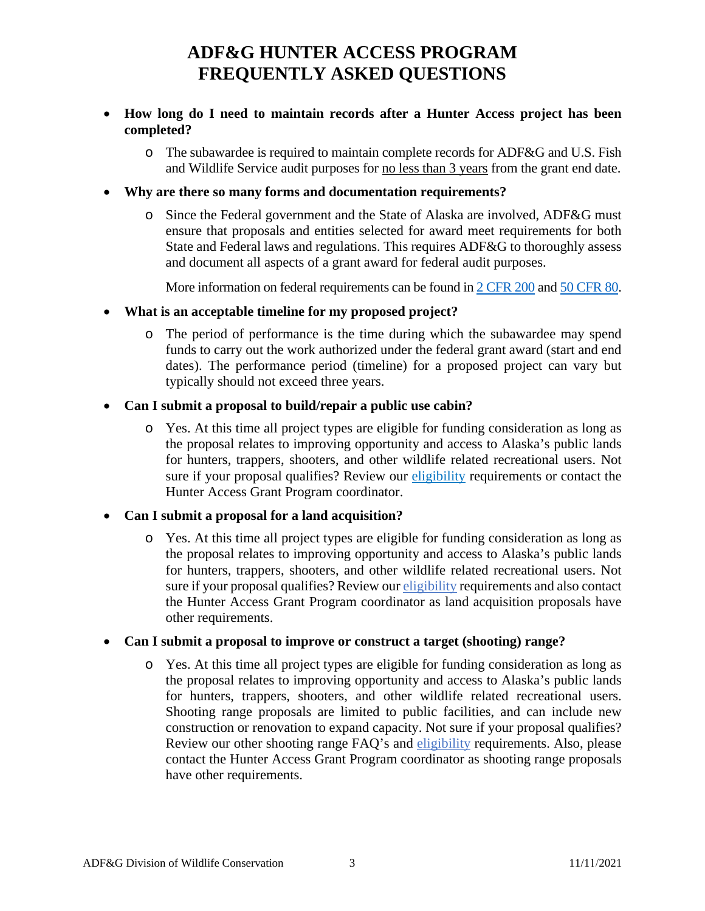- **How long do I need to maintain records after a Hunter Access project has been completed?**
	- o The subawardee is required to maintain complete records for ADF&G and U.S. Fish and Wildlife Service audit purposes for no less than 3 years from the grant end date.
- **Why are there so many forms and documentation requirements?**
	- o Since the Federal government and the State of Alaska are involved, ADF&G must ensure that proposals and entities selected for award meet requirements for both State and Federal laws and regulations. This requires ADF&G to thoroughly assess and document all aspects of a grant award for federal audit purposes.

More information on federal requirements can be found in [2 CFR 200](https://gov.ecfr.io/cgi-bin/text-idx?SID=d4c6cc217bef60e588e6252b156167c0&mc=true&tpl=/ecfrbrowse/Title02/2cfr200_main_02.tpl) an[d 50 CFR 80.](https://gov.ecfr.io/cgi-bin/text-idx?SID=2928ea6128f702e18bfcaff07b68b009&mc=true&node=pt50.9.80&rgn=div5)

- **What is an acceptable timeline for my proposed project?**
	- o The period of performance is the time during which the subawardee may spend funds to carry out the work authorized under the federal grant award (start and end dates). The performance period (timeline) for a proposed project can vary but typically should not exceed three years.

## • **Can I submit a proposal to build/repair a public use cabin?**

o Yes. At this time all project types are eligible for funding consideration as long as the proposal relates to improving opportunity and access to Alaska's public lands for hunters, trappers, shooters, and other wildlife related recreational users. Not sure if your proposal qualifies? Review our [eligibility](https://www.adfg.alaska.gov/static/applications/web/nocache/hunting/access/pdfs/hunter_access_qualify_11.11.2021.pdfC977D582E907FCA13ECD8D6A6F16F4F5/hunter_access_qualify_11.11.2021.pdf) requirements or contact the Hunter Access Grant Program coordinator.

## • **Can I submit a proposal for a land acquisition?**

o Yes. At this time all project types are eligible for funding consideration as long as the proposal relates to improving opportunity and access to Alaska's public lands for hunters, trappers, shooters, and other wildlife related recreational users. Not sure if your proposal qualifies? Review our [eligibility](https://www.adfg.alaska.gov/static/applications/web/nocache/hunting/access/pdfs/hunter_access_qualify_11.11.2021.pdfC977D582E907FCA13ECD8D6A6F16F4F5/hunter_access_qualify_11.11.2021.pdf) requirements and also contact the Hunter Access Grant Program coordinator as land acquisition proposals have other requirements.

#### • **Can I submit a proposal to improve or construct a target (shooting) range?**

o Yes. At this time all project types are eligible for funding consideration as long as the proposal relates to improving opportunity and access to Alaska's public lands for hunters, trappers, shooters, and other wildlife related recreational users. Shooting range proposals are limited to public facilities, and can include new construction or renovation to expand capacity. Not sure if your proposal qualifies? Review our other shooting range FAQ's and [eligibility](https://www.adfg.alaska.gov/static/applications/web/nocache/hunting/access/pdfs/hunter_access_qualify_11.11.2021.pdfC977D582E907FCA13ECD8D6A6F16F4F5/hunter_access_qualify_11.11.2021.pdf) requirements. Also, please contact the Hunter Access Grant Program coordinator as shooting range proposals have other requirements.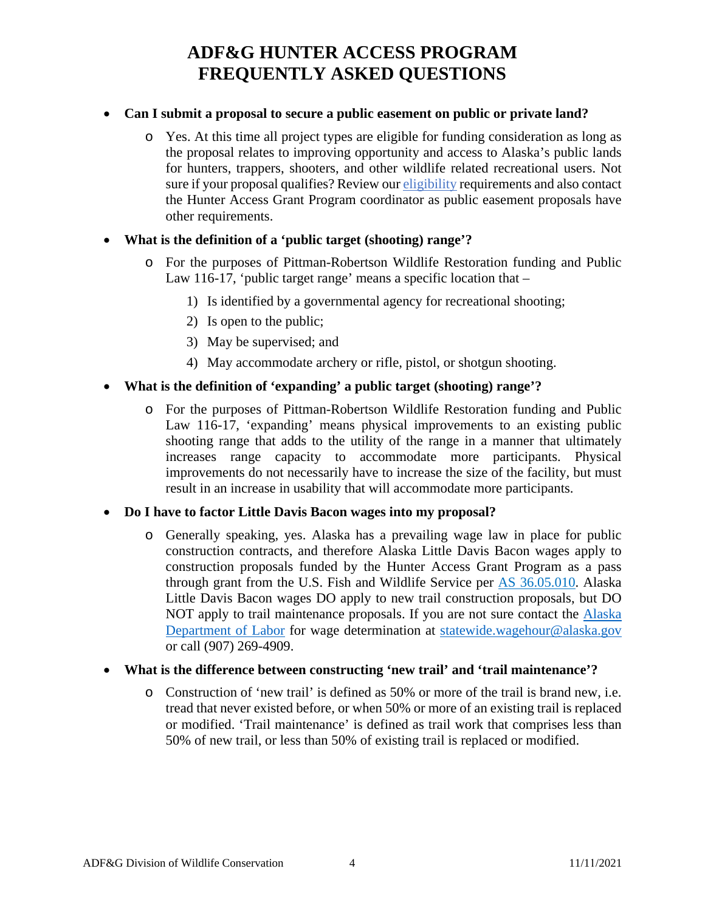## • **Can I submit a proposal to secure a public easement on public or private land?**

o Yes. At this time all project types are eligible for funding consideration as long as the proposal relates to improving opportunity and access to Alaska's public lands for hunters, trappers, shooters, and other wildlife related recreational users. Not sure if your proposal qualifies? Review our [eligibility](https://www.adfg.alaska.gov/static/applications/web/nocache/hunting/access/pdfs/hunter_access_qualify_11.11.2021.pdfC977D582E907FCA13ECD8D6A6F16F4F5/hunter_access_qualify_11.11.2021.pdf) requirements and also contact the Hunter Access Grant Program coordinator as public easement proposals have other requirements.

## • **What is the definition of a 'public target (shooting) range'?**

- o For the purposes of Pittman-Robertson Wildlife Restoration funding and Public Law 116-17, 'public target range' means a specific location that –
	- 1) Is identified by a governmental agency for recreational shooting;
	- 2) Is open to the public;
	- 3) May be supervised; and
	- 4) May accommodate archery or rifle, pistol, or shotgun shooting.

## • **What is the definition of 'expanding' a public target (shooting) range'?**

o For the purposes of Pittman-Robertson Wildlife Restoration funding and Public Law 116-17, 'expanding' means physical improvements to an existing public shooting range that adds to the utility of the range in a manner that ultimately increases range capacity to accommodate more participants. Physical improvements do not necessarily have to increase the size of the facility, but must result in an increase in usability that will accommodate more participants.

#### • **Do I have to factor Little Davis Bacon wages into my proposal?**

o Generally speaking, yes. Alaska has a prevailing wage law in place for public construction contracts, and therefore Alaska Little Davis Bacon wages apply to construction proposals funded by the Hunter Access Grant Program as a pass through grant from the U.S. Fish and Wildlife Service per [AS 36.05.010.](http://www.legis.state.ak.us/basis/statutes.asp?media=print&secStart=36&secEnd=36.98) Alaska Little Davis Bacon wages DO apply to new trail construction proposals, but DO NOT apply to trail maintenance proposals. If you are not sure contact the **Alaska** [Department of Labor](https://labor.alaska.gov/lss/whhome.htm) for wage determination at [statewide.wagehour@alaska.gov](mailto:statewide.wagehour@alaska.gov) or call (907) 269-4909.

## • **What is the difference between constructing 'new trail' and 'trail maintenance'?**

o Construction of 'new trail' is defined as 50% or more of the trail is brand new, i.e. tread that never existed before, or when 50% or more of an existing trail is replaced or modified. 'Trail maintenance' is defined as trail work that comprises less than 50% of new trail, or less than 50% of existing trail is replaced or modified.